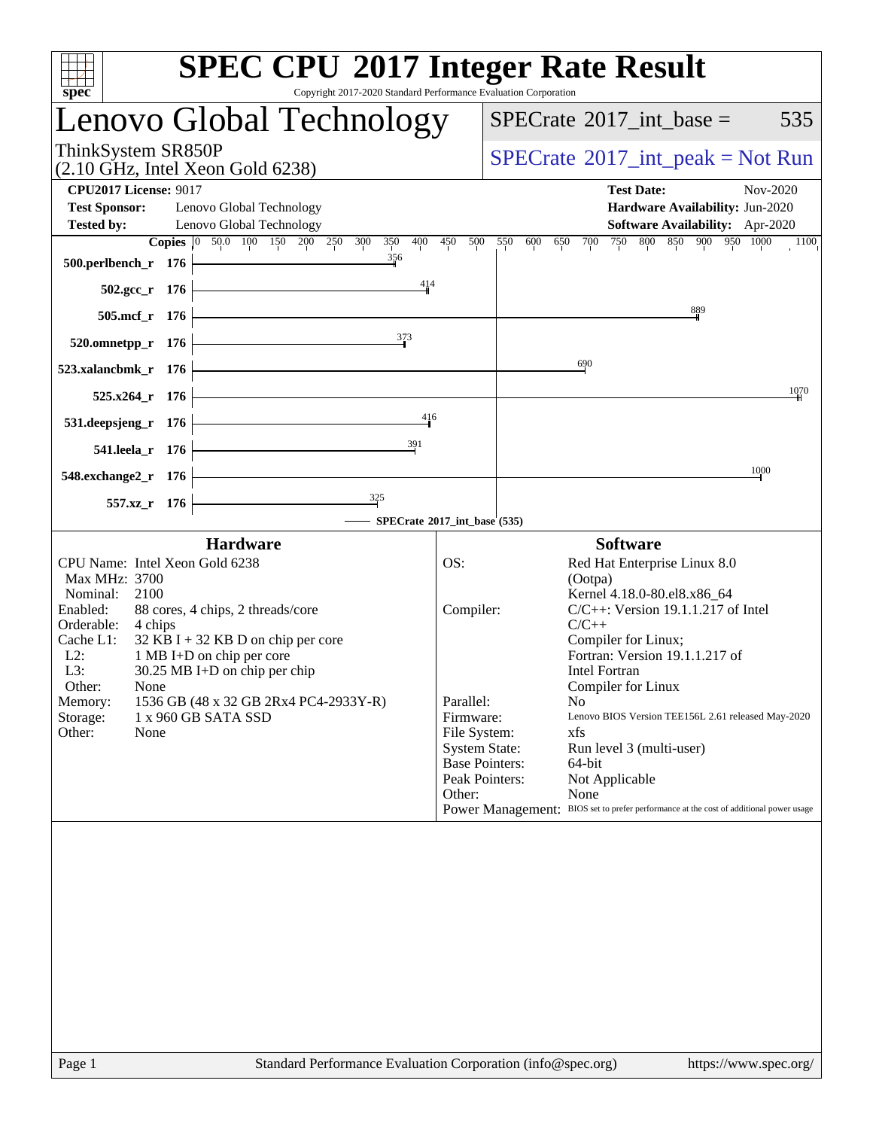| <b>SPEC CPU®2017 Integer Rate Result</b><br>Copyright 2017-2020 Standard Performance Evaluation Corporation<br>spec <sup>®</sup>                                                                                                                                                                                                                                                                             |                                                                                                                                         |                                                                                                                                                                                                                                                                                                                                                                                                                                                                |
|--------------------------------------------------------------------------------------------------------------------------------------------------------------------------------------------------------------------------------------------------------------------------------------------------------------------------------------------------------------------------------------------------------------|-----------------------------------------------------------------------------------------------------------------------------------------|----------------------------------------------------------------------------------------------------------------------------------------------------------------------------------------------------------------------------------------------------------------------------------------------------------------------------------------------------------------------------------------------------------------------------------------------------------------|
| Lenovo Global Technology                                                                                                                                                                                                                                                                                                                                                                                     |                                                                                                                                         | $SPECTate$ <sup>®</sup> 2017_int_base =<br>535                                                                                                                                                                                                                                                                                                                                                                                                                 |
| ThinkSystem SR850P<br>$(2.10 \text{ GHz}, \text{Intel Xeon Gold } 6238)$                                                                                                                                                                                                                                                                                                                                     |                                                                                                                                         | $SPECrate^{\circledast}2017\_int\_peak = Not Run$                                                                                                                                                                                                                                                                                                                                                                                                              |
| <b>CPU2017 License: 9017</b>                                                                                                                                                                                                                                                                                                                                                                                 |                                                                                                                                         | <b>Test Date:</b><br>Nov-2020                                                                                                                                                                                                                                                                                                                                                                                                                                  |
| <b>Test Sponsor:</b><br>Lenovo Global Technology<br><b>Tested by:</b><br>Lenovo Global Technology<br>Copies 0 50.0 100 150 200 250 300 350<br>400                                                                                                                                                                                                                                                            | 450<br>500                                                                                                                              | Hardware Availability: Jun-2020<br>Software Availability: Apr-2020<br>750 800 850 900 950 1000<br>550<br>600<br>$\overline{700}$<br>$\overline{1100}$<br>650                                                                                                                                                                                                                                                                                                   |
| 356<br>500.perlbench_r 176<br>414<br><u> 1989 - Johann Barn, fransk politik (</u>                                                                                                                                                                                                                                                                                                                            |                                                                                                                                         |                                                                                                                                                                                                                                                                                                                                                                                                                                                                |
| $502.\text{gcc}_r$ 176<br><u> 1989 - Johann Barn, mars ann an t-Amhair an t-Amhair an t-Amhair an t-Amhair an t-Amhair an t-Amhair an t-Amh</u><br>505.mcf_r 176                                                                                                                                                                                                                                             |                                                                                                                                         | $\frac{889}{5}$                                                                                                                                                                                                                                                                                                                                                                                                                                                |
| 373<br>$520.0$ mnetpp_r 176                                                                                                                                                                                                                                                                                                                                                                                  |                                                                                                                                         |                                                                                                                                                                                                                                                                                                                                                                                                                                                                |
| 523.xalancbmk_r 176                                                                                                                                                                                                                                                                                                                                                                                          |                                                                                                                                         | 690                                                                                                                                                                                                                                                                                                                                                                                                                                                            |
| $525.x264$ <sub>r</sub> $176$                                                                                                                                                                                                                                                                                                                                                                                |                                                                                                                                         | 1070                                                                                                                                                                                                                                                                                                                                                                                                                                                           |
| 416<br><u> 1980 - Johann Barn, mars ann an t-Aonaich an t-Aonaich an t-Aonaich an t-Aonaich ann an t-Aonaich ann an t-Ao</u><br>531.deepsjeng_r 176                                                                                                                                                                                                                                                          |                                                                                                                                         |                                                                                                                                                                                                                                                                                                                                                                                                                                                                |
| 391<br><u> 1989 - Johann Barbara, martxa alemaniar a</u><br>541.leela_r 176                                                                                                                                                                                                                                                                                                                                  |                                                                                                                                         |                                                                                                                                                                                                                                                                                                                                                                                                                                                                |
| <u> 1989 - Johann Barn, fransk politik (</u><br>548.exchange2_r 176                                                                                                                                                                                                                                                                                                                                          |                                                                                                                                         | 1000                                                                                                                                                                                                                                                                                                                                                                                                                                                           |
| $\frac{325}{1}$<br>557.xz_r 176<br>SPECrate®2017_int_base (535)                                                                                                                                                                                                                                                                                                                                              |                                                                                                                                         |                                                                                                                                                                                                                                                                                                                                                                                                                                                                |
| <b>Hardware</b>                                                                                                                                                                                                                                                                                                                                                                                              |                                                                                                                                         | <b>Software</b>                                                                                                                                                                                                                                                                                                                                                                                                                                                |
| CPU Name: Intel Xeon Gold 6238<br>Max MHz: 3700<br>Nominal:<br>2100<br>Enabled:<br>88 cores, 4 chips, 2 threads/core<br>Orderable:<br>4 chips<br>Cache L1:<br>$32$ KB I + 32 KB D on chip per core<br>$L2$ :<br>1 MB I+D on chip per core<br>L3:<br>30.25 MB I+D on chip per chip<br>Other:<br>None<br>1536 GB (48 x 32 GB 2Rx4 PC4-2933Y-R)<br>Memory:<br>Storage:<br>1 x 960 GB SATA SSD<br>Other:<br>None | OS:<br>Compiler:<br>Parallel:<br>Firmware:<br>File System:<br><b>System State:</b><br><b>Base Pointers:</b><br>Peak Pointers:<br>Other: | Red Hat Enterprise Linux 8.0<br>(Ootpa)<br>Kernel 4.18.0-80.el8.x86_64<br>$C/C++$ : Version 19.1.1.217 of Intel<br>$C/C++$<br>Compiler for Linux;<br>Fortran: Version 19.1.1.217 of<br><b>Intel Fortran</b><br>Compiler for Linux<br>No<br>Lenovo BIOS Version TEE156L 2.61 released May-2020<br>xfs<br>Run level 3 (multi-user)<br>64-bit<br>Not Applicable<br>None<br>Power Management: BIOS set to prefer performance at the cost of additional power usage |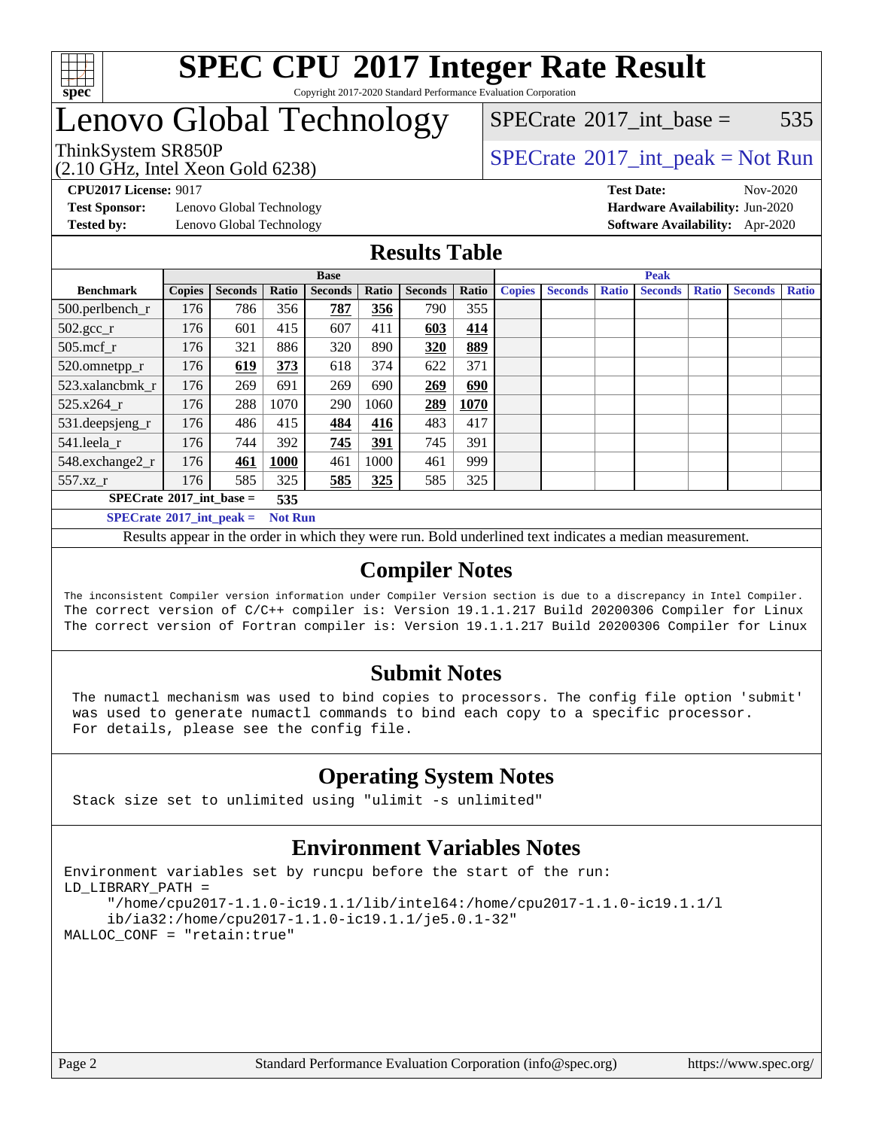

#### **[SPEC CPU](http://www.spec.org/auto/cpu2017/Docs/result-fields.html#SPECCPU2017IntegerRateResult)[2017 Integer Rate Result](http://www.spec.org/auto/cpu2017/Docs/result-fields.html#SPECCPU2017IntegerRateResult)** Copyright 2017-2020 Standard Performance Evaluation Corporation

### Lenovo Global Technology

(2.10 GHz, Intel Xeon Gold 6238)

ThinkSystem SR850P<br>  $\begin{array}{c}\n\text{SPECTB} \\
\text{SPECTB} \\
\text{SPECTB} \\
\text{SPECTB} \\
\end{array}$  [SPECrate](http://www.spec.org/auto/cpu2017/Docs/result-fields.html#SPECrate2017intpeak)®[2017\\_int\\_peak = N](http://www.spec.org/auto/cpu2017/Docs/result-fields.html#SPECrate2017intpeak)ot Run

 $SPECTate$ <sup>®</sup>[2017\\_int\\_base =](http://www.spec.org/auto/cpu2017/Docs/result-fields.html#SPECrate2017intbase) 535

**[Test Sponsor:](http://www.spec.org/auto/cpu2017/Docs/result-fields.html#TestSponsor)** Lenovo Global Technology **[Hardware Availability:](http://www.spec.org/auto/cpu2017/Docs/result-fields.html#HardwareAvailability)** Jun-2020

**[CPU2017 License:](http://www.spec.org/auto/cpu2017/Docs/result-fields.html#CPU2017License)** 9017 **[Test Date:](http://www.spec.org/auto/cpu2017/Docs/result-fields.html#TestDate)** Nov-2020 **[Tested by:](http://www.spec.org/auto/cpu2017/Docs/result-fields.html#Testedby)** Lenovo Global Technology **[Software Availability:](http://www.spec.org/auto/cpu2017/Docs/result-fields.html#SoftwareAvailability)** Apr-2020

### **[Results Table](http://www.spec.org/auto/cpu2017/Docs/result-fields.html#ResultsTable)**

|                                                 | <b>Base</b>   |                |       |                |       |                | <b>Peak</b> |               |                |              |                |              |                |              |
|-------------------------------------------------|---------------|----------------|-------|----------------|-------|----------------|-------------|---------------|----------------|--------------|----------------|--------------|----------------|--------------|
| <b>Benchmark</b>                                | <b>Copies</b> | <b>Seconds</b> | Ratio | <b>Seconds</b> | Ratio | <b>Seconds</b> | Ratio       | <b>Copies</b> | <b>Seconds</b> | <b>Ratio</b> | <b>Seconds</b> | <b>Ratio</b> | <b>Seconds</b> | <b>Ratio</b> |
| 500.perlbench_r                                 | 176           | 786            | 356   | 787            | 356   | 790            | 355         |               |                |              |                |              |                |              |
| $502.\text{gcc\_r}$                             | 176           | 601            | 415   | 607            | 411   | 603            | 414         |               |                |              |                |              |                |              |
| $505$ .mcf r                                    | 176           | 321            | 886   | 320            | 890   | 320            | 889         |               |                |              |                |              |                |              |
| 520.omnetpp_r                                   | 176           | 619            | 373   | 618            | 374   | 622            | 371         |               |                |              |                |              |                |              |
| 523.xalancbmk r                                 | 176           | 269            | 691   | 269            | 690   | 269            | 690         |               |                |              |                |              |                |              |
| 525.x264 r                                      | 176           | 288            | 1070  | 290            | 1060  | 289            | 1070        |               |                |              |                |              |                |              |
| 531.deepsjeng_r                                 | 176           | 486            | 415   | 484            | 416   | 483            | 417         |               |                |              |                |              |                |              |
| 541.leela r                                     | 176           | 744            | 392   | 745            | 391   | 745            | 391         |               |                |              |                |              |                |              |
| 548.exchange2_r                                 | 176           | 461            | 1000  | 461            | 1000  | 461            | 999         |               |                |              |                |              |                |              |
| $557.xz$ _r                                     | 176           | 585            | 325   | 585            | 325   | 585            | 325         |               |                |              |                |              |                |              |
| $SPECrate^{\circ}2017$ int base =               |               |                | 535   |                |       |                |             |               |                |              |                |              |                |              |
| $SPECrate^*2017\_int\_peak =$<br><b>Not Run</b> |               |                |       |                |       |                |             |               |                |              |                |              |                |              |

Results appear in the [order in which they were run](http://www.spec.org/auto/cpu2017/Docs/result-fields.html#RunOrder). Bold underlined text [indicates a median measurement](http://www.spec.org/auto/cpu2017/Docs/result-fields.html#Median).

### **[Compiler Notes](http://www.spec.org/auto/cpu2017/Docs/result-fields.html#CompilerNotes)**

The inconsistent Compiler version information under Compiler Version section is due to a discrepancy in Intel Compiler. The correct version of C/C++ compiler is: Version 19.1.1.217 Build 20200306 Compiler for Linux The correct version of Fortran compiler is: Version 19.1.1.217 Build 20200306 Compiler for Linux

### **[Submit Notes](http://www.spec.org/auto/cpu2017/Docs/result-fields.html#SubmitNotes)**

 The numactl mechanism was used to bind copies to processors. The config file option 'submit' was used to generate numactl commands to bind each copy to a specific processor. For details, please see the config file.

### **[Operating System Notes](http://www.spec.org/auto/cpu2017/Docs/result-fields.html#OperatingSystemNotes)**

Stack size set to unlimited using "ulimit -s unlimited"

### **[Environment Variables Notes](http://www.spec.org/auto/cpu2017/Docs/result-fields.html#EnvironmentVariablesNotes)**

```
Environment variables set by runcpu before the start of the run:
LD_LIBRARY_PATH =
      "/home/cpu2017-1.1.0-ic19.1.1/lib/intel64:/home/cpu2017-1.1.0-ic19.1.1/l
      ib/ia32:/home/cpu2017-1.1.0-ic19.1.1/je5.0.1-32"
MALLOC_CONF = "retain:true"
```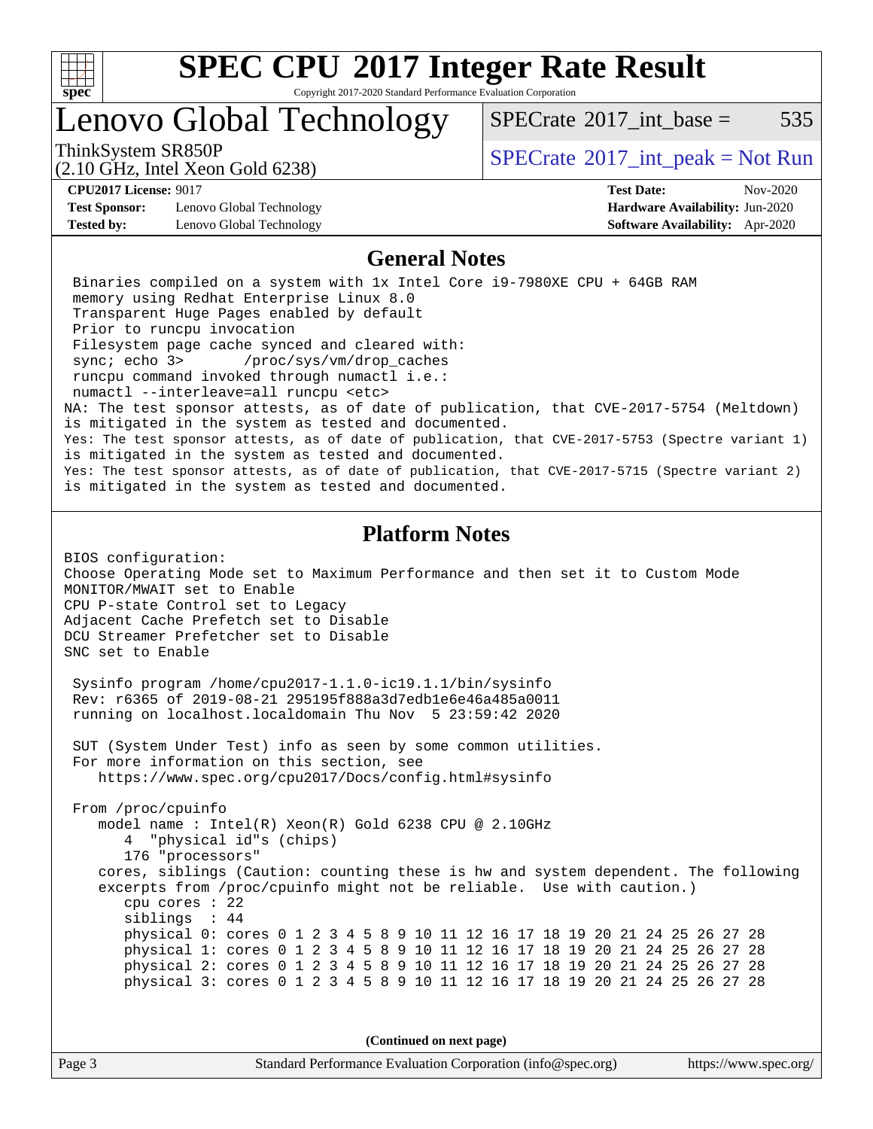

Copyright 2017-2020 Standard Performance Evaluation Corporation

### Lenovo Global Technology

 $SPECTate@2017$  int base = 535

(2.10 GHz, Intel Xeon Gold 6238)

ThinkSystem SR850P<br>  $\begin{array}{c}\n\text{SPECTB} \\
\text{SPECTB} \\
\text{SPECTB} \\
\text{SPECTB} \\
\end{array}$  [SPECrate](http://www.spec.org/auto/cpu2017/Docs/result-fields.html#SPECrate2017intpeak)®[2017\\_int\\_peak = N](http://www.spec.org/auto/cpu2017/Docs/result-fields.html#SPECrate2017intpeak)ot Run

**[Test Sponsor:](http://www.spec.org/auto/cpu2017/Docs/result-fields.html#TestSponsor)** Lenovo Global Technology **[Hardware Availability:](http://www.spec.org/auto/cpu2017/Docs/result-fields.html#HardwareAvailability)** Jun-2020 **[Tested by:](http://www.spec.org/auto/cpu2017/Docs/result-fields.html#Testedby)** Lenovo Global Technology **[Software Availability:](http://www.spec.org/auto/cpu2017/Docs/result-fields.html#SoftwareAvailability)** Apr-2020

**[CPU2017 License:](http://www.spec.org/auto/cpu2017/Docs/result-fields.html#CPU2017License)** 9017 **[Test Date:](http://www.spec.org/auto/cpu2017/Docs/result-fields.html#TestDate)** Nov-2020

### **[General Notes](http://www.spec.org/auto/cpu2017/Docs/result-fields.html#GeneralNotes)**

 Binaries compiled on a system with 1x Intel Core i9-7980XE CPU + 64GB RAM memory using Redhat Enterprise Linux 8.0 Transparent Huge Pages enabled by default Prior to runcpu invocation Filesystem page cache synced and cleared with: sync; echo 3> /proc/sys/vm/drop\_caches runcpu command invoked through numactl i.e.: numactl --interleave=all runcpu <etc> NA: The test sponsor attests, as of date of publication, that CVE-2017-5754 (Meltdown) is mitigated in the system as tested and documented. Yes: The test sponsor attests, as of date of publication, that CVE-2017-5753 (Spectre variant 1) is mitigated in the system as tested and documented. Yes: The test sponsor attests, as of date of publication, that CVE-2017-5715 (Spectre variant 2) is mitigated in the system as tested and documented.

### **[Platform Notes](http://www.spec.org/auto/cpu2017/Docs/result-fields.html#PlatformNotes)**

BIOS configuration: Choose Operating Mode set to Maximum Performance and then set it to Custom Mode MONITOR/MWAIT set to Enable CPU P-state Control set to Legacy Adjacent Cache Prefetch set to Disable DCU Streamer Prefetcher set to Disable SNC set to Enable

 Sysinfo program /home/cpu2017-1.1.0-ic19.1.1/bin/sysinfo Rev: r6365 of 2019-08-21 295195f888a3d7edb1e6e46a485a0011 running on localhost.localdomain Thu Nov 5 23:59:42 2020

 SUT (System Under Test) info as seen by some common utilities. For more information on this section, see <https://www.spec.org/cpu2017/Docs/config.html#sysinfo>

 From /proc/cpuinfo model name : Intel(R) Xeon(R) Gold 6238 CPU @ 2.10GHz 4 "physical id"s (chips) 176 "processors" cores, siblings (Caution: counting these is hw and system dependent. The following excerpts from /proc/cpuinfo might not be reliable. Use with caution.) cpu cores : 22 siblings : 44 physical 0: cores 0 1 2 3 4 5 8 9 10 11 12 16 17 18 19 20 21 24 25 26 27 28 physical 1: cores 0 1 2 3 4 5 8 9 10 11 12 16 17 18 19 20 21 24 25 26 27 28 physical 2: cores 0 1 2 3 4 5 8 9 10 11 12 16 17 18 19 20 21 24 25 26 27 28 physical 3: cores 0 1 2 3 4 5 8 9 10 11 12 16 17 18 19 20 21 24 25 26 27 28

**(Continued on next page)**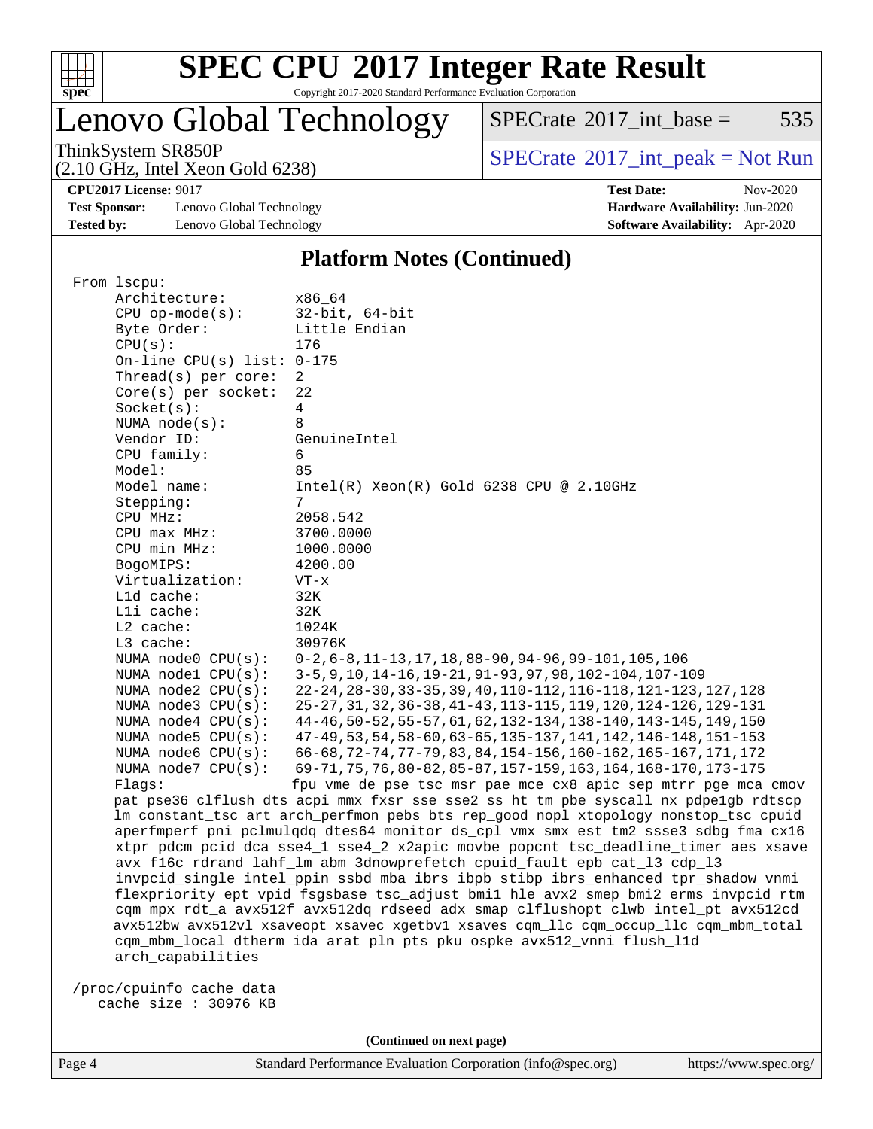

Copyright 2017-2020 Standard Performance Evaluation Corporation

## Lenovo Global Technology

 $SPECTate@2017_int\_base = 535$ 

(2.10 GHz, Intel Xeon Gold 6238)

ThinkSystem SR850P<br>  $(2.10 \text{ GHz. Intel } Y_{200}$  Gold 6238)<br> [SPECrate](http://www.spec.org/auto/cpu2017/Docs/result-fields.html#SPECrate2017intpeak)®[2017\\_int\\_peak = N](http://www.spec.org/auto/cpu2017/Docs/result-fields.html#SPECrate2017intpeak)ot Run

**[CPU2017 License:](http://www.spec.org/auto/cpu2017/Docs/result-fields.html#CPU2017License)** 9017 **[Test Date:](http://www.spec.org/auto/cpu2017/Docs/result-fields.html#TestDate)** Nov-2020

**[Test Sponsor:](http://www.spec.org/auto/cpu2017/Docs/result-fields.html#TestSponsor)** Lenovo Global Technology **[Hardware Availability:](http://www.spec.org/auto/cpu2017/Docs/result-fields.html#HardwareAvailability)** Jun-2020 **[Tested by:](http://www.spec.org/auto/cpu2017/Docs/result-fields.html#Testedby)** Lenovo Global Technology **[Software Availability:](http://www.spec.org/auto/cpu2017/Docs/result-fields.html#SoftwareAvailability)** Apr-2020

### **[Platform Notes \(Continued\)](http://www.spec.org/auto/cpu2017/Docs/result-fields.html#PlatformNotes)**

| From lscpu:                                                                        |                                                                                      |  |  |  |
|------------------------------------------------------------------------------------|--------------------------------------------------------------------------------------|--|--|--|
| Architecture:                                                                      | x86_64                                                                               |  |  |  |
| $CPU$ op-mode( $s$ ):                                                              | $32$ -bit, $64$ -bit                                                                 |  |  |  |
| Byte Order:                                                                        | Little Endian                                                                        |  |  |  |
| CPU(s):                                                                            | 176                                                                                  |  |  |  |
| On-line CPU(s) list: 0-175                                                         |                                                                                      |  |  |  |
| Thread(s) per core:                                                                | 2                                                                                    |  |  |  |
| Core(s) per socket:                                                                | 22                                                                                   |  |  |  |
| Socket(s):                                                                         | 4                                                                                    |  |  |  |
| NUMA $node(s):$                                                                    | 8                                                                                    |  |  |  |
| Vendor ID:                                                                         | GenuineIntel                                                                         |  |  |  |
| CPU family:                                                                        | 6                                                                                    |  |  |  |
| Model:                                                                             | 85                                                                                   |  |  |  |
| Model name:                                                                        | $Intel(R) Xeon(R) Gold 6238 CPU @ 2.10GHz$                                           |  |  |  |
| Stepping:                                                                          | 7                                                                                    |  |  |  |
| CPU MHz:                                                                           | 2058.542                                                                             |  |  |  |
| CPU max MHz:                                                                       | 3700.0000                                                                            |  |  |  |
| CPU min MHz:                                                                       | 1000.0000                                                                            |  |  |  |
| BogoMIPS:                                                                          | 4200.00                                                                              |  |  |  |
| Virtualization:                                                                    | $VT - x$                                                                             |  |  |  |
| L1d cache:                                                                         | 32K                                                                                  |  |  |  |
| Lli cache:                                                                         | 32K                                                                                  |  |  |  |
| L2 cache:                                                                          | 1024K                                                                                |  |  |  |
| L3 cache:                                                                          | 30976K                                                                               |  |  |  |
| NUMA $node0$ $CPU(s)$ :                                                            | $0-2, 6-8, 11-13, 17, 18, 88-90, 94-96, 99-101, 105, 106$                            |  |  |  |
| NUMA nodel CPU(s):                                                                 | 3-5, 9, 10, 14-16, 19-21, 91-93, 97, 98, 102-104, 107-109                            |  |  |  |
| NUMA $node2$ $CPU(s)$ :                                                            | 22-24, 28-30, 33-35, 39, 40, 110-112, 116-118, 121-123, 127, 128                     |  |  |  |
| NUMA node3 CPU(s):                                                                 | 25-27, 31, 32, 36-38, 41-43, 113-115, 119, 120, 124-126, 129-131                     |  |  |  |
| NUMA $node4$ CPU $(s)$ :                                                           | 44-46, 50-52, 55-57, 61, 62, 132-134, 138-140, 143-145, 149, 150                     |  |  |  |
| NUMA $node5$ $CPU(s):$                                                             | 47-49, 53, 54, 58-60, 63-65, 135-137, 141, 142, 146-148, 151-153                     |  |  |  |
| NUMA node6 $CPU(s):$                                                               | 66-68, 72-74, 77-79, 83, 84, 154-156, 160-162, 165-167, 171, 172                     |  |  |  |
| NUMA node7 CPU(s):                                                                 | 69-71, 75, 76, 80-82, 85-87, 157-159, 163, 164, 168-170, 173-175                     |  |  |  |
| Flags:                                                                             | fpu vme de pse tsc msr pae mce cx8 apic sep mtrr pge mca cmov                        |  |  |  |
|                                                                                    | pat pse36 clflush dts acpi mmx fxsr sse sse2 ss ht tm pbe syscall nx pdpelgb rdtscp  |  |  |  |
|                                                                                    | lm constant_tsc art arch_perfmon pebs bts rep_good nopl xtopology nonstop_tsc cpuid  |  |  |  |
|                                                                                    | aperfmperf pni pclmulqdq dtes64 monitor ds_cpl vmx smx est tm2 ssse3 sdbg fma cx16   |  |  |  |
|                                                                                    | xtpr pdcm pcid dca sse4_1 sse4_2 x2apic movbe popcnt tsc_deadline_timer aes xsave    |  |  |  |
|                                                                                    | avx f16c rdrand lahf_lm abm 3dnowprefetch cpuid_fault epb cat_13 cdp_13              |  |  |  |
| invpcid_single intel_ppin ssbd mba ibrs ibpb stibp ibrs_enhanced tpr_shadow vnmi   |                                                                                      |  |  |  |
| flexpriority ept vpid fsgsbase tsc_adjust bmil hle avx2 smep bmi2 erms invpcid rtm |                                                                                      |  |  |  |
| cqm mpx rdt_a avx512f avx512dq rdseed adx smap clflushopt clwb intel_pt avx512cd   |                                                                                      |  |  |  |
|                                                                                    | avx512bw avx512vl xsaveopt xsavec xgetbvl xsaves cqm_llc cqm_occup_llc cqm_mbm_total |  |  |  |
|                                                                                    | cqm_mbm_local dtherm ida arat pln pts pku ospke avx512_vnni flush_l1d                |  |  |  |
| arch_capabilities                                                                  |                                                                                      |  |  |  |
| /proc/cpuinfo cache data                                                           |                                                                                      |  |  |  |
| cache size : 30976 KB                                                              |                                                                                      |  |  |  |
|                                                                                    |                                                                                      |  |  |  |

**(Continued on next page)**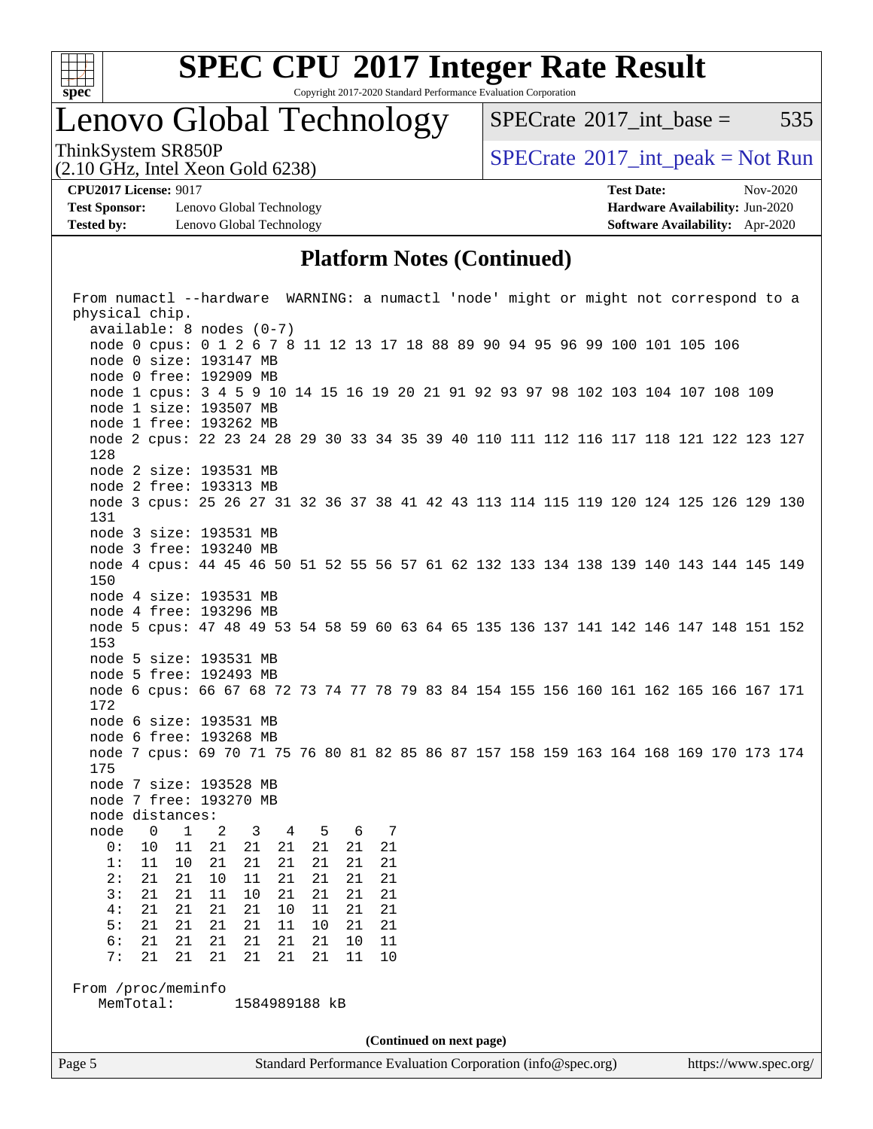

Copyright 2017-2020 Standard Performance Evaluation Corporation

Lenovo Global Technology

 $SPECTate^{\circledcirc}2017$  int base = 535

(2.10 GHz, Intel Xeon Gold 6238)

ThinkSystem SR850P<br>  $\begin{array}{c}\n\text{SPECTB} \\
\text{SPECTB} \\
\text{SPECTB} \\
\text{SPECTB} \\
\end{array}$  [SPECrate](http://www.spec.org/auto/cpu2017/Docs/result-fields.html#SPECrate2017intpeak)®[2017\\_int\\_peak = N](http://www.spec.org/auto/cpu2017/Docs/result-fields.html#SPECrate2017intpeak)ot Run

**[Test Sponsor:](http://www.spec.org/auto/cpu2017/Docs/result-fields.html#TestSponsor)** Lenovo Global Technology **[Hardware Availability:](http://www.spec.org/auto/cpu2017/Docs/result-fields.html#HardwareAvailability)** Jun-2020 **[Tested by:](http://www.spec.org/auto/cpu2017/Docs/result-fields.html#Testedby)** Lenovo Global Technology **[Software Availability:](http://www.spec.org/auto/cpu2017/Docs/result-fields.html#SoftwareAvailability)** Apr-2020

**[CPU2017 License:](http://www.spec.org/auto/cpu2017/Docs/result-fields.html#CPU2017License)** 9017 **[Test Date:](http://www.spec.org/auto/cpu2017/Docs/result-fields.html#TestDate)** Nov-2020

### **[Platform Notes \(Continued\)](http://www.spec.org/auto/cpu2017/Docs/result-fields.html#PlatformNotes)**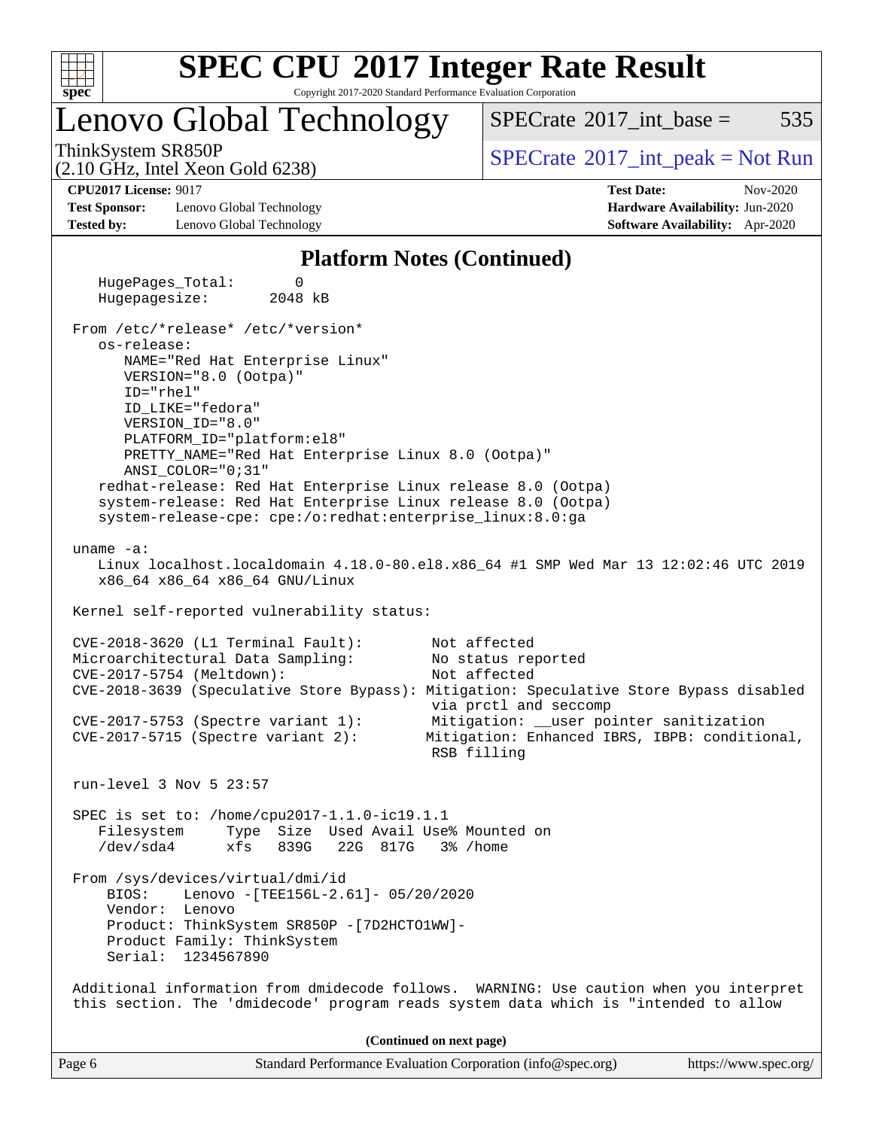

Copyright 2017-2020 Standard Performance Evaluation Corporation

### Lenovo Global Technology

 $SPECTate$ <sup>®</sup>[2017\\_int\\_base =](http://www.spec.org/auto/cpu2017/Docs/result-fields.html#SPECrate2017intbase) 535

(2.10 GHz, Intel Xeon Gold 6238)

ThinkSystem SR850P<br>  $\begin{array}{c}\n\text{SPECTB} \\
\text{SPECTB} \\
\text{SPECTB} \\
\text{SPECTB} \\
\end{array}$  [SPECrate](http://www.spec.org/auto/cpu2017/Docs/result-fields.html#SPECrate2017intpeak)®[2017\\_int\\_peak = N](http://www.spec.org/auto/cpu2017/Docs/result-fields.html#SPECrate2017intpeak)ot Run

**[Test Sponsor:](http://www.spec.org/auto/cpu2017/Docs/result-fields.html#TestSponsor)** Lenovo Global Technology **[Hardware Availability:](http://www.spec.org/auto/cpu2017/Docs/result-fields.html#HardwareAvailability)** Jun-2020 **[Tested by:](http://www.spec.org/auto/cpu2017/Docs/result-fields.html#Testedby)** Lenovo Global Technology **[Software Availability:](http://www.spec.org/auto/cpu2017/Docs/result-fields.html#SoftwareAvailability)** Apr-2020

**[CPU2017 License:](http://www.spec.org/auto/cpu2017/Docs/result-fields.html#CPU2017License)** 9017 **[Test Date:](http://www.spec.org/auto/cpu2017/Docs/result-fields.html#TestDate)** Nov-2020

#### **[Platform Notes \(Continued\)](http://www.spec.org/auto/cpu2017/Docs/result-fields.html#PlatformNotes)**

 HugePages\_Total: 0 Hugepagesize: 2048 kB From /etc/\*release\* /etc/\*version\* os-release: NAME="Red Hat Enterprise Linux" VERSION="8.0 (Ootpa)" ID="rhel" ID\_LIKE="fedora" VERSION\_ID="8.0" PLATFORM\_ID="platform:el8" PRETTY\_NAME="Red Hat Enterprise Linux 8.0 (Ootpa)" ANSI\_COLOR="0;31" redhat-release: Red Hat Enterprise Linux release 8.0 (Ootpa) system-release: Red Hat Enterprise Linux release 8.0 (Ootpa) system-release-cpe: cpe:/o:redhat:enterprise\_linux:8.0:ga uname -a: Linux localhost.localdomain 4.18.0-80.el8.x86\_64 #1 SMP Wed Mar 13 12:02:46 UTC 2019 x86\_64 x86\_64 x86\_64 GNU/Linux Kernel self-reported vulnerability status: CVE-2018-3620 (L1 Terminal Fault): Not affected Microarchitectural Data Sampling: No status reported CVE-2017-5754 (Meltdown): Not affected CVE-2018-3639 (Speculative Store Bypass): Mitigation: Speculative Store Bypass disabled via prctl and seccomp CVE-2017-5753 (Spectre variant 1): Mitigation: \_\_user pointer sanitization CVE-2017-5715 (Spectre variant 2): Mitigation: Enhanced IBRS, IBPB: conditional, RSB filling run-level 3 Nov 5 23:57 SPEC is set to: /home/cpu2017-1.1.0-ic19.1.1 Filesystem Type Size Used Avail Use% Mounted on /dev/sda4 xfs 839G 22G 817G 3% /home From /sys/devices/virtual/dmi/id BIOS: Lenovo -[TEE156L-2.61]- 05/20/2020 Vendor: Lenovo Product: ThinkSystem SR850P -[7D2HCTO1WW]- Product Family: ThinkSystem Serial: 1234567890 Additional information from dmidecode follows. WARNING: Use caution when you interpret this section. The 'dmidecode' program reads system data which is "intended to allow **(Continued on next page)**

Page 6 Standard Performance Evaluation Corporation [\(info@spec.org\)](mailto:info@spec.org) <https://www.spec.org/>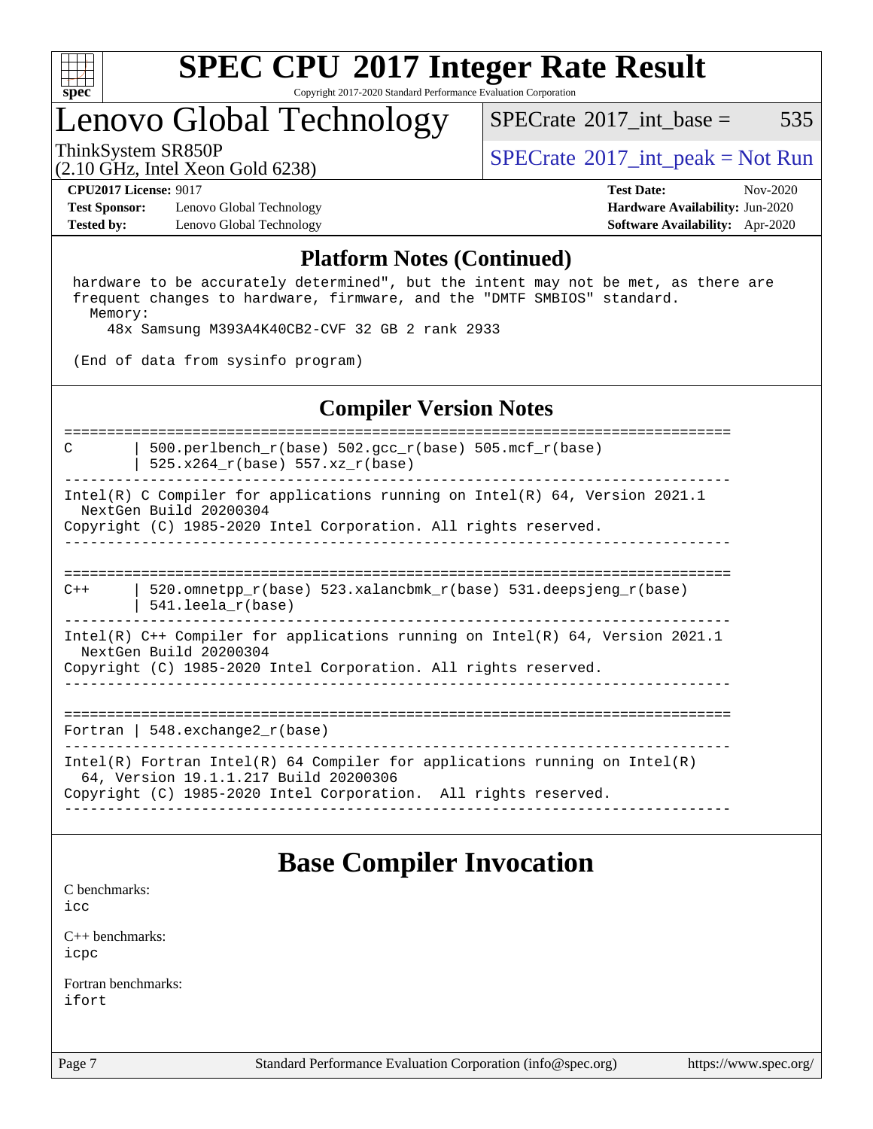

Copyright 2017-2020 Standard Performance Evaluation Corporation

### Lenovo Global Technology

[SPECrate](http://www.spec.org/auto/cpu2017/Docs/result-fields.html#SPECrate2017intbase)<sup>®</sup>2017 int base =  $535$ 

(2.10 GHz, Intel Xeon Gold 6238)

ThinkSystem SR850P<br>  $\begin{array}{c}\n\text{SPECTB} \\
\text{SPECTB} \\
\text{SPECTB} \\
\text{SPECTB} \\
\end{array}$  [SPECrate](http://www.spec.org/auto/cpu2017/Docs/result-fields.html#SPECrate2017intpeak)®[2017\\_int\\_peak = N](http://www.spec.org/auto/cpu2017/Docs/result-fields.html#SPECrate2017intpeak)ot Run

**[Test Sponsor:](http://www.spec.org/auto/cpu2017/Docs/result-fields.html#TestSponsor)** Lenovo Global Technology **[Hardware Availability:](http://www.spec.org/auto/cpu2017/Docs/result-fields.html#HardwareAvailability)** Jun-2020 **[Tested by:](http://www.spec.org/auto/cpu2017/Docs/result-fields.html#Testedby)** Lenovo Global Technology **[Software Availability:](http://www.spec.org/auto/cpu2017/Docs/result-fields.html#SoftwareAvailability)** Apr-2020

**[CPU2017 License:](http://www.spec.org/auto/cpu2017/Docs/result-fields.html#CPU2017License)** 9017 **[Test Date:](http://www.spec.org/auto/cpu2017/Docs/result-fields.html#TestDate)** Nov-2020

#### **[Platform Notes \(Continued\)](http://www.spec.org/auto/cpu2017/Docs/result-fields.html#PlatformNotes)**

 hardware to be accurately determined", but the intent may not be met, as there are frequent changes to hardware, firmware, and the "DMTF SMBIOS" standard. Memory:

48x Samsung M393A4K40CB2-CVF 32 GB 2 rank 2933

(End of data from sysinfo program)

### **[Compiler Version Notes](http://www.spec.org/auto/cpu2017/Docs/result-fields.html#CompilerVersionNotes)**

==============================================================================

C | 500.perlbench\_r(base) 502.gcc\_r(base) 505.mcf\_r(base)

 | 525.x264\_r(base) 557.xz\_r(base) ------------------------------------------------------------------------------

Intel(R) C Compiler for applications running on Intel(R) 64, Version 2021.1 NextGen Build 20200304 Copyright (C) 1985-2020 Intel Corporation. All rights reserved.

------------------------------------------------------------------------------

==============================================================================  $C++$  | 520.omnetpp\_r(base) 523.xalancbmk\_r(base) 531.deepsjeng\_r(base) | 541.leela\_r(base)

------------------------------------------------------------------------------ Intel(R) C++ Compiler for applications running on Intel(R) 64, Version 2021.1

 NextGen Build 20200304 Copyright (C) 1985-2020 Intel Corporation. All rights reserved. ------------------------------------------------------------------------------

==============================================================================

Fortran | 548.exchange2\_r(base)

------------------------------------------------------------------------------ Intel(R) Fortran Intel(R) 64 Compiler for applications running on Intel(R) 64, Version 19.1.1.217 Build 20200306 Copyright (C) 1985-2020 Intel Corporation. All rights reserved. ------------------------------------------------------------------------------

### **[Base Compiler Invocation](http://www.spec.org/auto/cpu2017/Docs/result-fields.html#BaseCompilerInvocation)**

[C benchmarks](http://www.spec.org/auto/cpu2017/Docs/result-fields.html#Cbenchmarks): [icc](http://www.spec.org/cpu2017/results/res2020q4/cpu2017-20201109-24355.flags.html#user_CCbase_intel_icc_66fc1ee009f7361af1fbd72ca7dcefbb700085f36577c54f309893dd4ec40d12360134090235512931783d35fd58c0460139e722d5067c5574d8eaf2b3e37e92)

[C++ benchmarks:](http://www.spec.org/auto/cpu2017/Docs/result-fields.html#CXXbenchmarks) [icpc](http://www.spec.org/cpu2017/results/res2020q4/cpu2017-20201109-24355.flags.html#user_CXXbase_intel_icpc_c510b6838c7f56d33e37e94d029a35b4a7bccf4766a728ee175e80a419847e808290a9b78be685c44ab727ea267ec2f070ec5dc83b407c0218cded6866a35d07)

[Fortran benchmarks](http://www.spec.org/auto/cpu2017/Docs/result-fields.html#Fortranbenchmarks): [ifort](http://www.spec.org/cpu2017/results/res2020q4/cpu2017-20201109-24355.flags.html#user_FCbase_intel_ifort_8111460550e3ca792625aed983ce982f94888b8b503583aa7ba2b8303487b4d8a21a13e7191a45c5fd58ff318f48f9492884d4413fa793fd88dd292cad7027ca)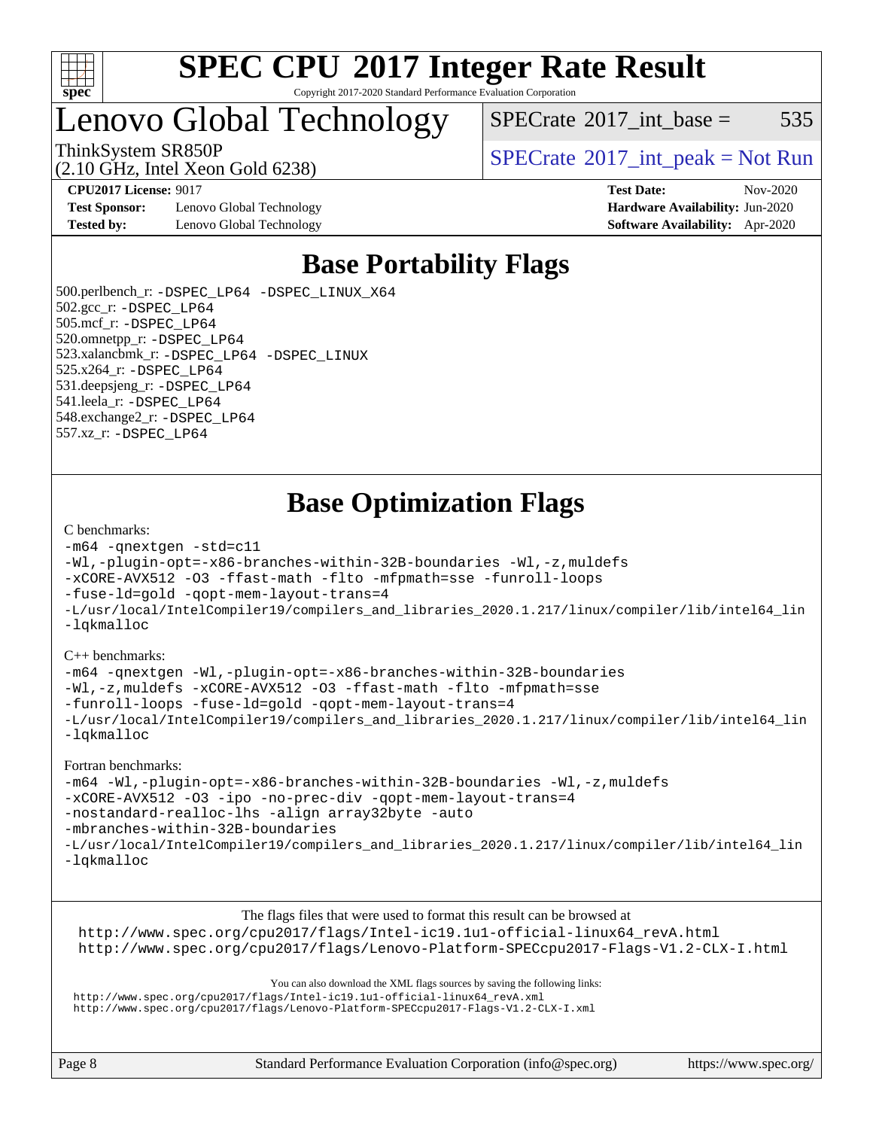

Copyright 2017-2020 Standard Performance Evaluation Corporation

Lenovo Global Technology

 $SPECTate$ <sup>®</sup>[2017\\_int\\_base =](http://www.spec.org/auto/cpu2017/Docs/result-fields.html#SPECrate2017intbase) 535

(2.10 GHz, Intel Xeon Gold 6238)

ThinkSystem SR850P<br>  $SPECTA = 10 \text{ GHz}$  [SPECrate](http://www.spec.org/auto/cpu2017/Docs/result-fields.html#SPECrate2017intpeak)®[2017\\_int\\_peak = N](http://www.spec.org/auto/cpu2017/Docs/result-fields.html#SPECrate2017intpeak)ot Run

**[Test Sponsor:](http://www.spec.org/auto/cpu2017/Docs/result-fields.html#TestSponsor)** Lenovo Global Technology **[Hardware Availability:](http://www.spec.org/auto/cpu2017/Docs/result-fields.html#HardwareAvailability)** Jun-2020 **[Tested by:](http://www.spec.org/auto/cpu2017/Docs/result-fields.html#Testedby)** Lenovo Global Technology **[Software Availability:](http://www.spec.org/auto/cpu2017/Docs/result-fields.html#SoftwareAvailability)** Apr-2020

**[CPU2017 License:](http://www.spec.org/auto/cpu2017/Docs/result-fields.html#CPU2017License)** 9017 **[Test Date:](http://www.spec.org/auto/cpu2017/Docs/result-fields.html#TestDate)** Nov-2020

### **[Base Portability Flags](http://www.spec.org/auto/cpu2017/Docs/result-fields.html#BasePortabilityFlags)**

 500.perlbench\_r: [-DSPEC\\_LP64](http://www.spec.org/cpu2017/results/res2020q4/cpu2017-20201109-24355.flags.html#b500.perlbench_r_basePORTABILITY_DSPEC_LP64) [-DSPEC\\_LINUX\\_X64](http://www.spec.org/cpu2017/results/res2020q4/cpu2017-20201109-24355.flags.html#b500.perlbench_r_baseCPORTABILITY_DSPEC_LINUX_X64) 502.gcc\_r: [-DSPEC\\_LP64](http://www.spec.org/cpu2017/results/res2020q4/cpu2017-20201109-24355.flags.html#suite_basePORTABILITY502_gcc_r_DSPEC_LP64) 505.mcf\_r: [-DSPEC\\_LP64](http://www.spec.org/cpu2017/results/res2020q4/cpu2017-20201109-24355.flags.html#suite_basePORTABILITY505_mcf_r_DSPEC_LP64) 520.omnetpp\_r: [-DSPEC\\_LP64](http://www.spec.org/cpu2017/results/res2020q4/cpu2017-20201109-24355.flags.html#suite_basePORTABILITY520_omnetpp_r_DSPEC_LP64) 523.xalancbmk\_r: [-DSPEC\\_LP64](http://www.spec.org/cpu2017/results/res2020q4/cpu2017-20201109-24355.flags.html#suite_basePORTABILITY523_xalancbmk_r_DSPEC_LP64) [-DSPEC\\_LINUX](http://www.spec.org/cpu2017/results/res2020q4/cpu2017-20201109-24355.flags.html#b523.xalancbmk_r_baseCXXPORTABILITY_DSPEC_LINUX) 525.x264\_r: [-DSPEC\\_LP64](http://www.spec.org/cpu2017/results/res2020q4/cpu2017-20201109-24355.flags.html#suite_basePORTABILITY525_x264_r_DSPEC_LP64) 531.deepsjeng\_r: [-DSPEC\\_LP64](http://www.spec.org/cpu2017/results/res2020q4/cpu2017-20201109-24355.flags.html#suite_basePORTABILITY531_deepsjeng_r_DSPEC_LP64) 541.leela\_r: [-DSPEC\\_LP64](http://www.spec.org/cpu2017/results/res2020q4/cpu2017-20201109-24355.flags.html#suite_basePORTABILITY541_leela_r_DSPEC_LP64) 548.exchange2\_r: [-DSPEC\\_LP64](http://www.spec.org/cpu2017/results/res2020q4/cpu2017-20201109-24355.flags.html#suite_basePORTABILITY548_exchange2_r_DSPEC_LP64) 557.xz\_r: [-DSPEC\\_LP64](http://www.spec.org/cpu2017/results/res2020q4/cpu2017-20201109-24355.flags.html#suite_basePORTABILITY557_xz_r_DSPEC_LP64)

### **[Base Optimization Flags](http://www.spec.org/auto/cpu2017/Docs/result-fields.html#BaseOptimizationFlags)**

#### [C benchmarks](http://www.spec.org/auto/cpu2017/Docs/result-fields.html#Cbenchmarks):

```
-m64 -qnextgen -std=c11
-Wl,-plugin-opt=-x86-branches-within-32B-boundaries -Wl,-z,muldefs
-xCORE-AVX512 -O3 -ffast-math -flto -mfpmath=sse -funroll-loops
-fuse-ld=gold -qopt-mem-layout-trans=4
-L/usr/local/IntelCompiler19/compilers_and_libraries_2020.1.217/linux/compiler/lib/intel64_lin
-lqkmalloc
```
#### [C++ benchmarks](http://www.spec.org/auto/cpu2017/Docs/result-fields.html#CXXbenchmarks):

[-m64](http://www.spec.org/cpu2017/results/res2020q4/cpu2017-20201109-24355.flags.html#user_CXXbase_m64-icc) [-qnextgen](http://www.spec.org/cpu2017/results/res2020q4/cpu2017-20201109-24355.flags.html#user_CXXbase_f-qnextgen) [-Wl,-plugin-opt=-x86-branches-within-32B-boundaries](http://www.spec.org/cpu2017/results/res2020q4/cpu2017-20201109-24355.flags.html#user_CXXbase_f-x86-branches-within-32B-boundaries_0098b4e4317ae60947b7b728078a624952a08ac37a3c797dfb4ffeb399e0c61a9dd0f2f44ce917e9361fb9076ccb15e7824594512dd315205382d84209e912f3) [-Wl,-z,muldefs](http://www.spec.org/cpu2017/results/res2020q4/cpu2017-20201109-24355.flags.html#user_CXXbase_link_force_multiple1_b4cbdb97b34bdee9ceefcfe54f4c8ea74255f0b02a4b23e853cdb0e18eb4525ac79b5a88067c842dd0ee6996c24547a27a4b99331201badda8798ef8a743f577) [-xCORE-AVX512](http://www.spec.org/cpu2017/results/res2020q4/cpu2017-20201109-24355.flags.html#user_CXXbase_f-xCORE-AVX512) [-O3](http://www.spec.org/cpu2017/results/res2020q4/cpu2017-20201109-24355.flags.html#user_CXXbase_f-O3) [-ffast-math](http://www.spec.org/cpu2017/results/res2020q4/cpu2017-20201109-24355.flags.html#user_CXXbase_f-ffast-math) [-flto](http://www.spec.org/cpu2017/results/res2020q4/cpu2017-20201109-24355.flags.html#user_CXXbase_f-flto) [-mfpmath=sse](http://www.spec.org/cpu2017/results/res2020q4/cpu2017-20201109-24355.flags.html#user_CXXbase_f-mfpmath_70eb8fac26bde974f8ab713bc9086c5621c0b8d2f6c86f38af0bd7062540daf19db5f3a066d8c6684be05d84c9b6322eb3b5be6619d967835195b93d6c02afa1) [-funroll-loops](http://www.spec.org/cpu2017/results/res2020q4/cpu2017-20201109-24355.flags.html#user_CXXbase_f-funroll-loops) [-fuse-ld=gold](http://www.spec.org/cpu2017/results/res2020q4/cpu2017-20201109-24355.flags.html#user_CXXbase_f-fuse-ld_920b3586e2b8c6e0748b9c84fa9b744736ba725a32cab14ad8f3d4ad28eecb2f59d1144823d2e17006539a88734fe1fc08fc3035f7676166309105a78aaabc32) [-qopt-mem-layout-trans=4](http://www.spec.org/cpu2017/results/res2020q4/cpu2017-20201109-24355.flags.html#user_CXXbase_f-qopt-mem-layout-trans_fa39e755916c150a61361b7846f310bcdf6f04e385ef281cadf3647acec3f0ae266d1a1d22d972a7087a248fd4e6ca390a3634700869573d231a252c784941a8) [-L/usr/local/IntelCompiler19/compilers\\_and\\_libraries\\_2020.1.217/linux/compiler/lib/intel64\\_lin](http://www.spec.org/cpu2017/results/res2020q4/cpu2017-20201109-24355.flags.html#user_CXXbase_linkpath_2cb6f503891ebf8baee7515f4e7d4ec1217444d1d05903cc0091ac4158de400651d2b2313a9fa414cb8a8f0e16ab029634f5c6db340f400369c190d4db8a54a0) [-lqkmalloc](http://www.spec.org/cpu2017/results/res2020q4/cpu2017-20201109-24355.flags.html#user_CXXbase_qkmalloc_link_lib_79a818439969f771c6bc311cfd333c00fc099dad35c030f5aab9dda831713d2015205805422f83de8875488a2991c0a156aaa600e1f9138f8fc37004abc96dc5)

#### [Fortran benchmarks:](http://www.spec.org/auto/cpu2017/Docs/result-fields.html#Fortranbenchmarks)

```
-m64 -Wl,-plugin-opt=-x86-branches-within-32B-boundaries -Wl,-z,muldefs
-xCORE-AVX512 -O3 -ipo -no-prec-div -qopt-mem-layout-trans=4
-nostandard-realloc-lhs -align array32byte -auto
-mbranches-within-32B-boundaries
-L/usr/local/IntelCompiler19/compilers_and_libraries_2020.1.217/linux/compiler/lib/intel64_lin
-lqkmalloc
```
[The flags files that were used to format this result can be browsed at](tmsearch)

[http://www.spec.org/cpu2017/flags/Intel-ic19.1u1-official-linux64\\_revA.html](http://www.spec.org/cpu2017/flags/Intel-ic19.1u1-official-linux64_revA.html) <http://www.spec.org/cpu2017/flags/Lenovo-Platform-SPECcpu2017-Flags-V1.2-CLX-I.html>

[You can also download the XML flags sources by saving the following links:](tmsearch)

[http://www.spec.org/cpu2017/flags/Intel-ic19.1u1-official-linux64\\_revA.xml](http://www.spec.org/cpu2017/flags/Intel-ic19.1u1-official-linux64_revA.xml) <http://www.spec.org/cpu2017/flags/Lenovo-Platform-SPECcpu2017-Flags-V1.2-CLX-I.xml>